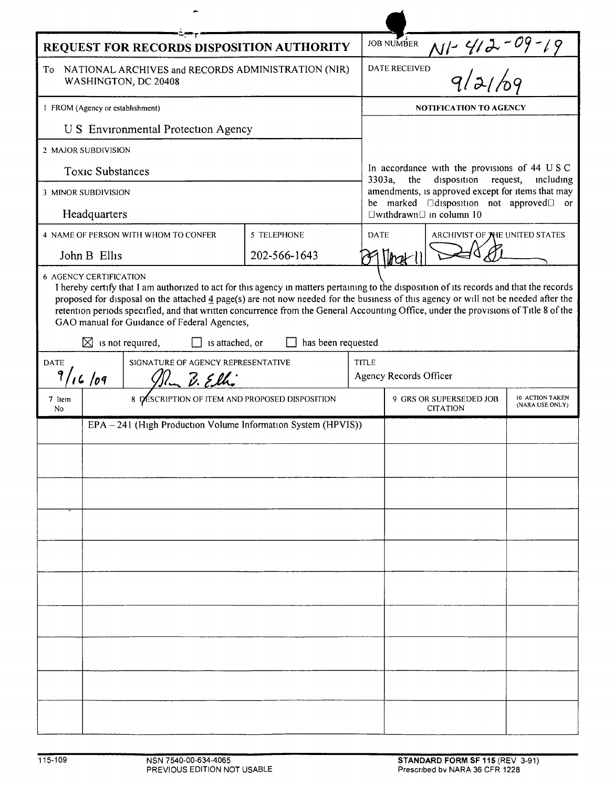| REQUEST FOR RECORDS DISPOSITION AUTHORITY                                                                                                                                                                                                                                                                                                                                                                                                                                                                                                                                         |                                                |                                      |              |       | <b>JOB NUMBER</b>                                                                                                                                |  |  |  |
|-----------------------------------------------------------------------------------------------------------------------------------------------------------------------------------------------------------------------------------------------------------------------------------------------------------------------------------------------------------------------------------------------------------------------------------------------------------------------------------------------------------------------------------------------------------------------------------|------------------------------------------------|--------------------------------------|--------------|-------|--------------------------------------------------------------------------------------------------------------------------------------------------|--|--|--|
| NATIONAL ARCHIVES and RECORDS ADMINISTRATION (NIR)<br>To<br>WASHINGTON, DC 20408                                                                                                                                                                                                                                                                                                                                                                                                                                                                                                  |                                                |                                      |              |       | N1-412-09-19<br>, 9/2/109<br><b>DATE RECEIVED</b>                                                                                                |  |  |  |
| 1 FROM (Agency or establishment)                                                                                                                                                                                                                                                                                                                                                                                                                                                                                                                                                  |                                                |                                      |              |       | <b>NOTIFICATION TO AGENCY</b>                                                                                                                    |  |  |  |
| U S Environmental Protection Agency                                                                                                                                                                                                                                                                                                                                                                                                                                                                                                                                               |                                                |                                      |              |       |                                                                                                                                                  |  |  |  |
| 2 MAJOR SUBDIVISION                                                                                                                                                                                                                                                                                                                                                                                                                                                                                                                                                               |                                                |                                      |              |       |                                                                                                                                                  |  |  |  |
| <b>Toxic Substances</b>                                                                                                                                                                                                                                                                                                                                                                                                                                                                                                                                                           |                                                |                                      |              |       | In accordance with the provisions of 44 USC<br>3303a,<br>the<br>disposition<br>request,<br>including                                             |  |  |  |
| 3 MINOR SUBDIVISION                                                                                                                                                                                                                                                                                                                                                                                                                                                                                                                                                               |                                                |                                      |              |       | amendments, is approved except for items that may<br>be marked <b>Edisposition</b> not approved or<br>$\square$ withdrawn $\square$ in column 10 |  |  |  |
| Headquarters                                                                                                                                                                                                                                                                                                                                                                                                                                                                                                                                                                      |                                                |                                      |              |       |                                                                                                                                                  |  |  |  |
|                                                                                                                                                                                                                                                                                                                                                                                                                                                                                                                                                                                   |                                                | 4 NAME OF PERSON WITH WHOM TO CONFER | 5 TELEPHONE  |       | <b>DATE</b><br>ARCHIVIST OF THE UNITED STATES                                                                                                    |  |  |  |
|                                                                                                                                                                                                                                                                                                                                                                                                                                                                                                                                                                                   | John B Ellis                                   |                                      | 202-566-1643 |       |                                                                                                                                                  |  |  |  |
| <b>6 AGENCY CERTIFICATION</b><br>I hereby certify that I am authorized to act for this agency in matters pertaining to the disposition of its records and that the records<br>proposed for disposal on the attached 4 page(s) are not now needed for the business of this agency or will not be needed after the<br>retention periods specified, and that written concurrence from the General Accounting Office, under the provisions of Title 8 of the<br>GAO manual for Guidance of Federal Agencies,<br>$\boxtimes$ is not required,<br>has been requested<br>is attached, or |                                                |                                      |              |       |                                                                                                                                                  |  |  |  |
|                                                                                                                                                                                                                                                                                                                                                                                                                                                                                                                                                                                   |                                                |                                      |              |       |                                                                                                                                                  |  |  |  |
| SIGNATURE OF AGENCY REPRESENTATIVE<br><b>DATE</b><br>16/09<br>$l_{m}$ $\hat{\nu}$ . Elhi                                                                                                                                                                                                                                                                                                                                                                                                                                                                                          |                                                |                                      |              | TITLE | Agency Records Officer                                                                                                                           |  |  |  |
| 7 Item<br>No                                                                                                                                                                                                                                                                                                                                                                                                                                                                                                                                                                      | 8 DESCRIPTION OF ITEM AND PROPOSED DISPOSITION |                                      |              |       | 10 ACTION TAKEN<br>9 GRS OR SUPERSEDED JOB<br>(NARA USE ONLY)<br><b>CITATION</b>                                                                 |  |  |  |
| EPA - 241 (High Production Volume Information System (HPVIS))                                                                                                                                                                                                                                                                                                                                                                                                                                                                                                                     |                                                |                                      |              |       |                                                                                                                                                  |  |  |  |
|                                                                                                                                                                                                                                                                                                                                                                                                                                                                                                                                                                                   |                                                |                                      |              |       |                                                                                                                                                  |  |  |  |
|                                                                                                                                                                                                                                                                                                                                                                                                                                                                                                                                                                                   |                                                |                                      |              |       |                                                                                                                                                  |  |  |  |
|                                                                                                                                                                                                                                                                                                                                                                                                                                                                                                                                                                                   |                                                |                                      |              |       |                                                                                                                                                  |  |  |  |
|                                                                                                                                                                                                                                                                                                                                                                                                                                                                                                                                                                                   |                                                |                                      |              |       |                                                                                                                                                  |  |  |  |
|                                                                                                                                                                                                                                                                                                                                                                                                                                                                                                                                                                                   |                                                |                                      |              |       |                                                                                                                                                  |  |  |  |
|                                                                                                                                                                                                                                                                                                                                                                                                                                                                                                                                                                                   |                                                |                                      |              |       |                                                                                                                                                  |  |  |  |
|                                                                                                                                                                                                                                                                                                                                                                                                                                                                                                                                                                                   |                                                |                                      |              |       |                                                                                                                                                  |  |  |  |
|                                                                                                                                                                                                                                                                                                                                                                                                                                                                                                                                                                                   |                                                |                                      |              |       |                                                                                                                                                  |  |  |  |
|                                                                                                                                                                                                                                                                                                                                                                                                                                                                                                                                                                                   |                                                |                                      |              |       |                                                                                                                                                  |  |  |  |
|                                                                                                                                                                                                                                                                                                                                                                                                                                                                                                                                                                                   |                                                |                                      |              |       |                                                                                                                                                  |  |  |  |
|                                                                                                                                                                                                                                                                                                                                                                                                                                                                                                                                                                                   |                                                |                                      |              |       |                                                                                                                                                  |  |  |  |
|                                                                                                                                                                                                                                                                                                                                                                                                                                                                                                                                                                                   |                                                |                                      |              |       |                                                                                                                                                  |  |  |  |
|                                                                                                                                                                                                                                                                                                                                                                                                                                                                                                                                                                                   |                                                |                                      |              |       |                                                                                                                                                  |  |  |  |
|                                                                                                                                                                                                                                                                                                                                                                                                                                                                                                                                                                                   |                                                |                                      |              |       |                                                                                                                                                  |  |  |  |

L

 $\overline{\phantom{a}}$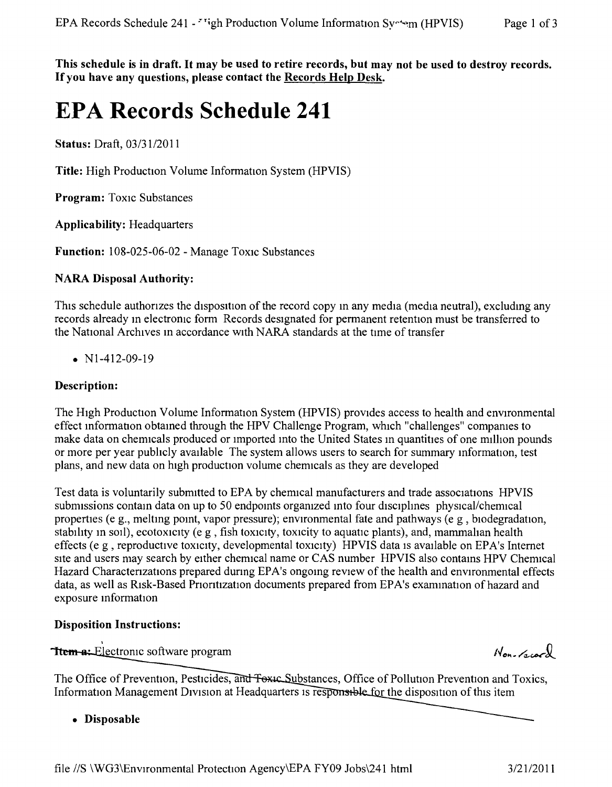This schedule is in draft. It may be used to retire records, but may not be used to destroy records. Ifyou **have any questions, please contact the Records Help Desk.**

# **EPA Records Schedule 241**

**Status:** Draft, *03/31/2011*

**Title:** High Production Volume Information System (HPVIS)

**Program:** Toxic Substances

**Applicability:** Headquarters

Function: 108-025-06-02 - Manage Toxic Substances

# **NARA Disposal Authority:**

This schedule authorizes the disposition of the record copy in any media (media neutral), excluding any records already m electronic form Records designated for permanent retention must be transferred to the National Archives m accordance with NARA standards at the time of transfer

• N<sub>1</sub>-412-09-19

## **Description:**

The HIgh Production Volume Information System (HPVIS) provides access to health and environmental effect information obtamed through the HPV Challenge Program, which "challenges" compames to make data on chemicals produced or imported into the United States in quantities of one million pounds or more per year pubhcly available The system allows users to search for summary information, test plans, and new data on high production volume chemicals as they are developed

Test data is voluntarily submitted to EPA by chermcal manufacturers and trade associations HPVIS submissions contain data on up to 50 endpoints organized into four disciplines physical/chemical properties (e g., melting point, vapor pressure); environmental fate and pathways (e g , biodegradation, stability in soil), ecotoxicity (e g, fish toxicity, toxicity to aquatic plants), and, mammalian health effects (e g, reproductive toxicity, developmental toxicity) HPVIS data is available on EPA's Internet site and users may search by either chemical name or CAS number HPVIS also contains HPV Chemical Hazard Charactenzations prepared dunng EPA's ongoing review of the health and environmental effects data, as well as Risk-Based Prioritization documents prepared from EPA's examination of hazard and exposure information

## **Disposition Instructions:**

Trem-a: Electronic software program

The Office of Prevention, Pesticides, and Foxic Substances, Office of Pollution Prevention and Toxics, Information Management Division at Headquarters is responsible for the disposition of this item

**• Disposable**

 $N_{on, \alpha}$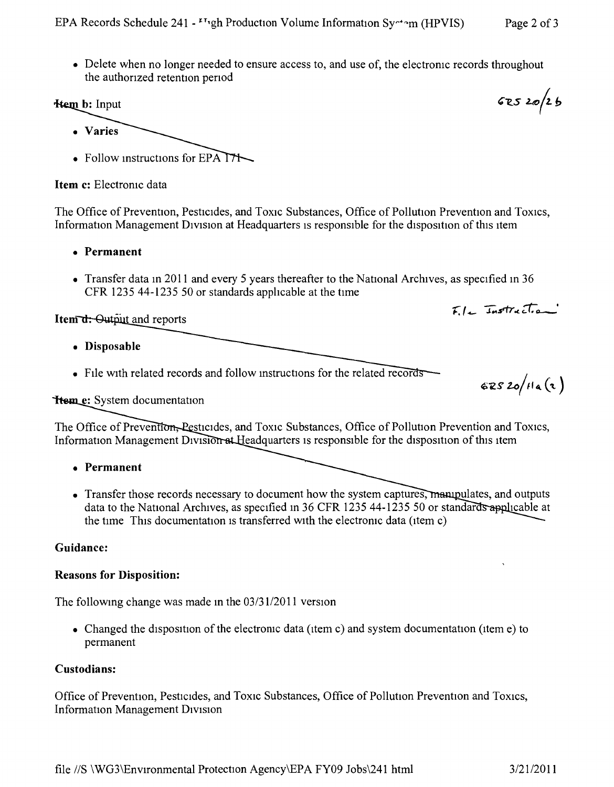• Delete when no longer needed to ensure access to, and use of, the electronic records throughout the authorized retention period

#### **Hem b:** Input

- Varies
- Follow instructions for  $EPA$

Item c: Electronic data

The Office of Prevention, Pesticides, and Toxic Substances, Office of Pollution Prevention and Toxics, Information Management Division at Headquarters is responsible for the disposition of this item

- Permanent
- Transfer data in 2011 and every 5 years thereafter to the National Archives, as specified in 36 CFR 1235 44-1235 50 or standards applicable at the time

Item d: Output and reports

- Disposable
- File with related records and follow instructions for the related records

 $62520/Ha(2)$ 

 $Fl_{+}$  Instruction

**Heme:** System documentation

The Office of Prevention, Pesticides, and Toxic Substances, Office of Pollution Prevention and Toxics, Information Management Division at Headquarters is responsible for the disposition of this item

- Permanent
- Transfer those records necessary to document how the system captures, manipulates, and outputs data to the National Archives, as specified in 36 CFR 1235 44-1235 50 or standards applicable at the time This documentation is transferred with the electronic data (item c)

#### Guidance:

#### **Reasons for Disposition:**

The following change was made in the  $03/31/2011$  version

• Changed the disposition of the electronic data (item c) and system documentation (item e) to permanent

#### Custodians:

Office of Prevention, Pesticides, and Toxic Substances, Office of Pollution Prevention and Toxics, Information Management Division

 $62520/26$